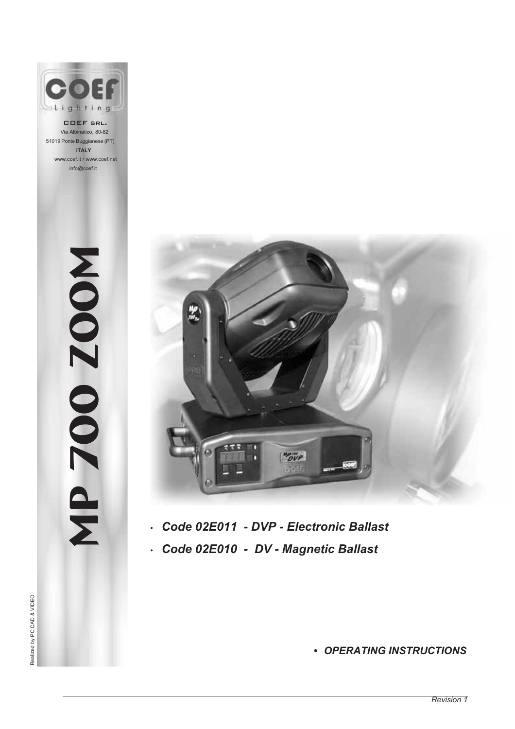

COEF srl. Via Albinatico, 80-82 51019 Ponte Buggianese (PT) **ITALY** www.coef.it / www.coef.net info@coef.it

Mp 700 zOOM

MD 700Z00M



- *• Code 02E011 DVP Electronic Ballast*
- *• Code 02E010 DV Magnetic Ballast*

Realized by PC CAD & VIDEO Realized by PC CAD & VIDEO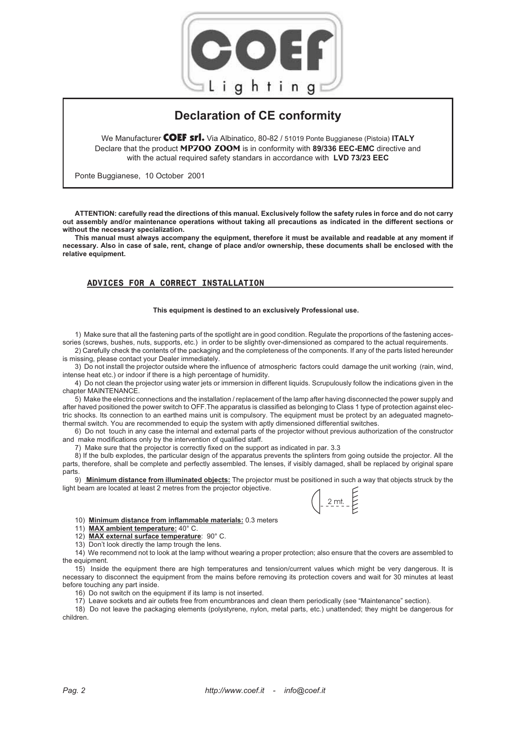

# **Declaration of CE conformity**

We Manufacturer COEF srl. Via Albinatico, 80-82 / 51019 Ponte Buggianese (Pistoia) **ITALY** Declare that the product **MP700 Zoom** is in conformity with **89/336 EEC-EMC** directive and with the actual required safety standars in accordance with **LVD 73/23 EEC**

Ponte Buggianese, 10 October 2001

**ATTENTION: carefully read the directions of this manual. Exclusively follow the safety rules in force and do not carry out assembly and/or maintenance operations without taking all precautions as indicated in the different sections or without the necessary specialization.**

**This manual must always accompany the equipment, therefore it must be available and readable at any moment if necessary. Also in case of sale, rent, change of place and/or ownership, these documents shall be enclosed with the relative equipment.**

### **ADVICES FOR A CORRECT INSTALLATION**

#### **This equipment is destined to an exclusively Professional use.**

1) Make sure that all the fastening parts of the spotlight are in good condition. Regulate the proportions of the fastening accessories (screws, bushes, nuts, supports, etc.) in order to be slightly over-dimensioned as compared to the actual requirements.

2) Carefully check the contents of the packaging and the completeness of the components. If any of the parts listed hereunder is missing, please contact your Dealer immediately.

3) Do not install the projector outside where the influence of atmospheric factors could damage the unit working (rain, wind, intense heat etc.) or indoor if there is a high percentage of humidity.

4) Do not clean the projector using water jets or immersion in different liquids. Scrupulously follow the indications given in the chapter MAINTENANCE.

5) Make the electric connections and the installation / replacement of the lamp after having disconnected the power supply and after haved positioned the power switch to OFF.The apparatus is classified as belonging to Class 1 type of protection against electric shocks. Its connection to an earthed mains unit is compulsory. The equipment must be protect by an adeguated magnetothermal switch. You are recommended to equip the system with aptly dimensioned differential switches.

6) Do not touch in any case the internal and external parts of the projector without previous authorization of the constructor and make modifications only by the intervention of qualified staff.

7) Make sure that the projector is correctly fixed on the support as indicated in par. 3.3

8) If the bulb explodes, the particular design of the apparatus prevents the splinters from going outside the projector. All the parts, therefore, shall be complete and perfectly assembled. The lenses, if visibly damaged, shall be replaced by original spare parts

9) **Minimum distance from illuminated objects:** The projector must be positioned in such a way that objects struck by the light beam are located at least 2 metres from the projector objective.

 $2mt.$ 

10) **Minimum distance from inflammable materials:** 0.3 meters

11) **MAX ambient temperature:** 40° C.

12) **MAX external surface temperature**: 90° C.

13) Don't look directly the lamp trough the lens.

14) We recommend not to look at the lamp without wearing a proper protection; also ensure that the covers are assembled to the equipment.

15) Inside the equipment there are high temperatures and tension/current values which might be very dangerous. It is necessary to disconnect the equipment from the mains before removing its protection covers and wait for 30 minutes at least before touching any part inside.

16) Do not switch on the equipment if its lamp is not inserted.

17) Leave sockets and air outlets free from encumbrances and clean them periodically (see "Maintenance" section).

18) Do not leave the packaging elements (polystyrene, nylon, metal parts, etc.) unattended; they might be dangerous for children.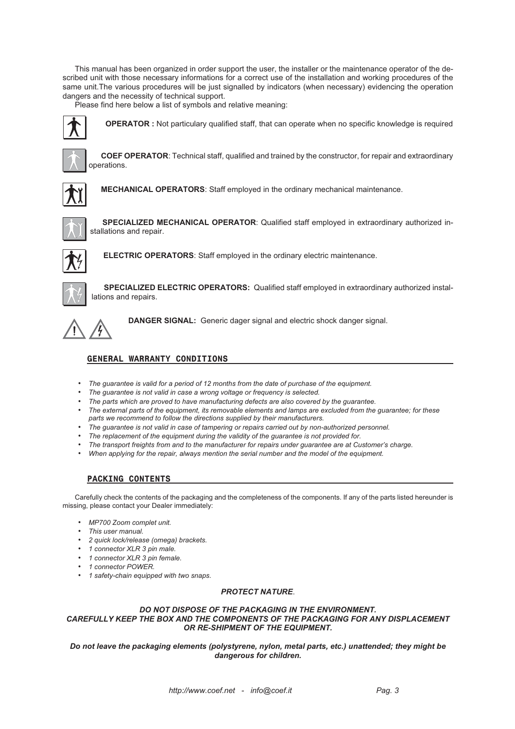This manual has been organized in order support the user, the installer or the maintenance operator of the described unit with those necessary informations for a correct use of the installation and working procedures of the same unit.The various procedures will be just signalled by indicators (when necessary) evidencing the operation dangers and the necessity of technical support.

Please find here below a list of symbols and relative meaning:

**OPERATOR :** Not particulary qualified staff, that can operate when no specific knowledge is required



**COEF OPERATOR**: Technical staff, qualified and trained by the constructor, for repair and extraordinary operations.



**MECHANICAL OPERATORS**: Staff employed in the ordinary mechanical maintenance.



**SPECIALIZED MECHANICAL OPERATOR**: Qualified staff employed in extraordinary authorized installations and repair.



**ELECTRIC OPERATORS**: Staff employed in the ordinary electric maintenance.



**SPECIALIZED ELECTRIC OPERATORS:** Qualified staff employed in extraordinary authorized installations and repairs.



**DANGER SIGNAL:** Generic dager signal and electric shock danger signal.

# **GENERAL WARRANTY CONDITIONS**

- *• The guarantee is valid for a period of 12 months from the date of purchase of the equipment.*
- *• The guarantee is not valid in case a wrong voltage or frequency is selected.*
- *• The parts which are proved to have manufacturing defects are also covered by the guarantee.*
- *• The external parts of the equipment, its removable elements and lamps are excluded from the guarantee; for these parts we recommend to follow the directions supplied by their manufacturers.*
- *• The guarantee is not valid in case of tampering or repairs carried out by non-authorized personnel.*
- *• The replacement of the equipment during the validity of the guarantee is not provided for.*
- *• The transport freights from and to the manufacturer for repairs under guarantee are at Customer's charge.*
- *• When applying for the repair, always mention the serial number and the model of the equipment.*

# **PACKING CONTENTS**

Carefully check the contents of the packaging and the completeness of the components. If any of the parts listed hereunder is missing, please contact your Dealer immediately:

- *• MP700 Zoom complet unit.*
- *• This user manual.*
- *• 2 quick lock/release (omega) brackets.*
- *• 1 connector XLR 3 pin male.*
- *• 1 connector XLR 3 pin female.*
- *• 1 connector POWER.*
- *• 1 safety-chain equipped with two snaps.*

#### *PROTECT NATURE*.

#### *DO NOT DISPOSE OF THE PACKAGING IN THE ENVIRONMENT. CAREFULLY KEEP THE BOX AND THE COMPONENTS OF THE PACKAGING FOR ANY DISPLACEMENT OR RE-SHIPMENT OF THE EQUIPMENT.*

*Do not leave the packaging elements (polystyrene, nylon, metal parts, etc.) unattended; they might be dangerous for children.*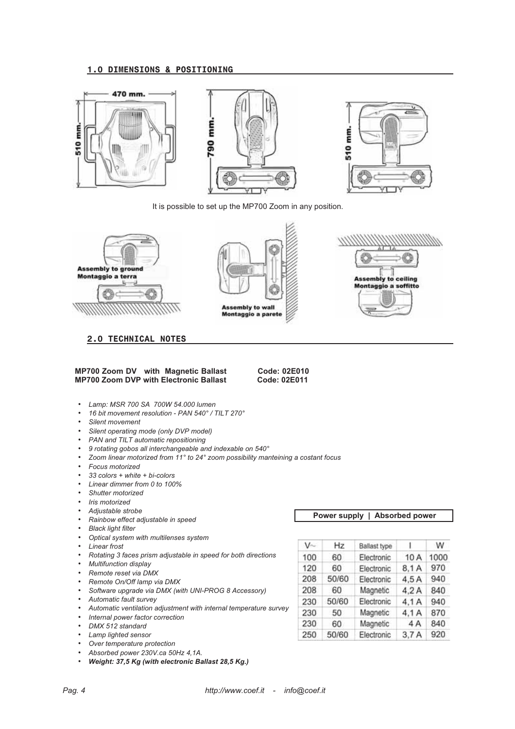#### **1.0 DIMENSIONS & POSITIONING**



It is possible to set up the MP700 Zoom in any position.



**2.0 TECHNICAL NOTES**





#### **MP700 Zoom DV with Magnetic Ballast Code: 02E010 MP700 Zoom DVP with Electronic Ballast**

- *• Lamp: MSR 700 SA 700W 54.000 lumen*
- *• 16 bit movement resolution PAN 540° / TILT 270°*
- *• Silent movement*
- *• Silent operating mode (only DVP model)*
- *• PAN and TILT automatic repositioning*
- *• 9 rotating gobos all interchangeable and indexable on 540°*
- *• Zoom linear motorized from 11° to 24° zoom possibility manteining a costant focus*
- *• Focus motorized*
- *• 33 colors + white + bi-colors*
- *• Linear dimmer from 0 to 100%*
- *• Shutter motorized*
- *• Iris motorized*
- *• Adjustable strobe*
- *• Rainbow effect adjustable in speed*
- *• Black light filter*
- *• Optical system with multilenses system*
- *• Linear frost*
- *• Rotating 3 faces prism adjustable in speed for both directions*
- *• Multifunction display*
- *• Remote reset via DMX*
- *• Remote On/Off lamp via DMX*
- *• Software upgrade via DMX (with UNI-PROG 8 Accessory)*
- *• Automatic fault survey*
- *• Automatic ventilation adjustment with internal temperature survey*
- *• Internal power factor correction*
- *• DMX 512 standard*
- *• Lamp lighted sensor*
- *• Over temperature protection*
- *• Absorbed power 230V.ca 50Hz 4,1A.*
- *• Weight: 37,5 Kg (with electronic Ballast 28,5 Kg.)*

|  |  | Power supply   Absorbed power |  |
|--|--|-------------------------------|--|
|--|--|-------------------------------|--|

| $V$ ~ | Hz    | Ballast type |       | W    |
|-------|-------|--------------|-------|------|
| 100   | 60    | Electronic   | 10 A  | 1000 |
| 120   | 60    | Electronic   | 8.1 A | 970  |
| 208   | 50/60 | Electronic   | 4.5A  | 940  |
| 208   | 60    | Magnetic     | 4.2A  | 840  |
| 230   | 50/60 | Electronic   | 4.1 A | 940  |
| 230   | 50    | Magnetic     | 4.1 A | 870  |
| 230   | 60    | Magnetic     | 4 A   | 840  |
| 250   | 50/60 | Electronic   | 3.7A  | 920  |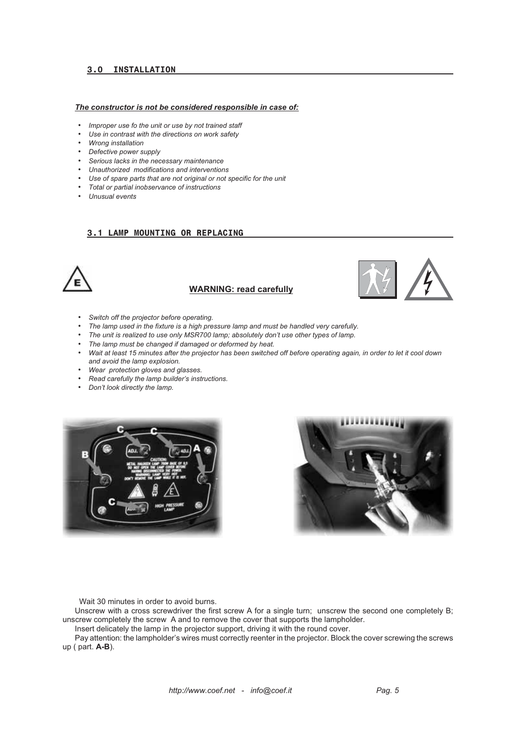# **3.0 INSTALLATION**

#### *The constructor is not be considered responsible in case of:*

- *• Improper use fo the unit or use by not trained staff*
- *• Use in contrast with the directions on work safety*
- *• Wrong installation*
- *• Defective power supply*
- *• Serious lacks in the necessary maintenance*
- *• Unauthorized modifications and interventions*
- *• Use of spare parts that are not original or not specific for the unit*
- *• Total or partial inobservance of instructions*
- *• Unusual events*

#### **3.1 LAMP MOUNTING OR REPLACING**



# **WARNING: read carefully**



- *• Switch off the projector before operating.*
- *• The lamp used in the fixture is a high pressure lamp and must be handled very carefully.*
- *• The unit is realized to use only MSR700 lamp; absolutely don't use other types of lamp.*
- *• The lamp must be changed if damaged or deformed by heat.*
- *• Wait at least 15 minutes after the projector has been switched off before operating again, in order to let it cool down and avoid the lamp explosion.*
- *• Wear protection gloves and glasses.*
- *• Read carefully the lamp builder's instructions.*
- *• Don't look directly the lamp.*





Wait 30 minutes in order to avoid burns.

Unscrew with a cross screwdriver the first screw A for a single turn; unscrew the second one completely B; unscrew completely the screw A and to remove the cover that supports the lampholder.

Insert delicately the lamp in the projector support, driving it with the round cover.

Pay attention: the lampholder's wires must correctly reenter in the projector. Block the cover screwing the screws up ( part. **A-B**).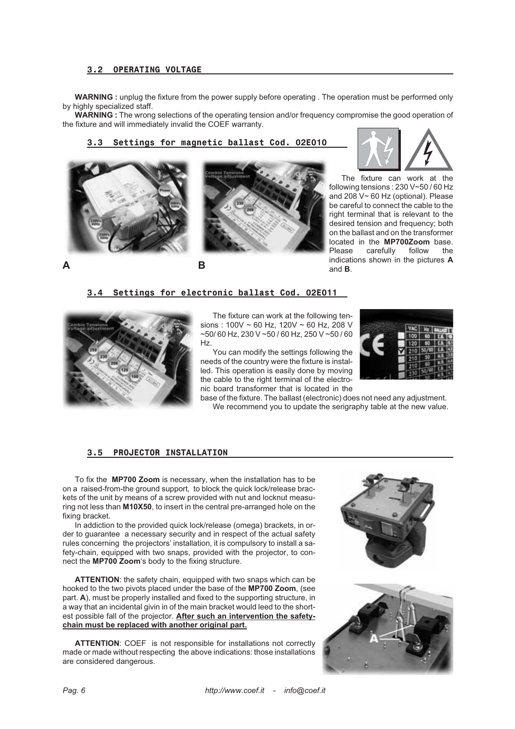### **3.2 OPERATING VOLTAGE**

**WARNING :** unplug the fixture from the power supply before operating . The operation must be performed only by highly specialized staff.

**WARNING :** The wrong selections of the operating tension and/or frequency compromise the good operation of the fixture and will immediately invalid the COEF warranty.

# **3.3 Settings for magnetic ballast Cod. 02E010**







The fixture can work at the following tensions : 230 V~50 / 60 Hz and 208 V~ 60 Hz (optional). Please be careful to connect the cable to the right terminal that is relevant to the desired tension and frequency; both on the ballast and on the transformer located in the **MP700Zoom** base. carefully follow the indications shown in the pictures **A** and **B**.

**A B**

**3.4 Settings for electronic ballast Cod. 02E011**



The fixture can work at the following tensions : 100V ~ 60 Hz, 120V ~ 60 Hz, 208 V ~50/ 60 Hz, 230 V ~50 / 60 Hz, 250 V ~50 / 60 Hz.

You can modify the settings following the needs of the country were the fixture is installed. This operation is easily done by moving the cable to the right terminal of the electronic board transformer that is located in the



base of the fixture. The ballast (electronic) does not need any adjustment. We recommend you to update the serigraphy table at the new value.

#### **3.5 PROJECTOR INSTALLATION**

To fix the **MP700 Zoom** is necessary, when the installation has to be on a raised-from-the ground support, to block the quick lock/release brackets of the unit by means of a screw provided with nut and locknut measuring not less than **M10X50**, to insert in the central pre-arranged hole on the fixing bracket.

In addiction to the provided quick lock/release (omega) brackets, in order to guarantee a necessary security and in respect of the actual safety rules concerning the projectors' installation, it is compulsory to install a safety-chain, equipped with two snaps, provided with the projector, to connect the **MP700 Zoom**'s body to the fixing structure.

**ATTENTION**: the safety chain, equipped with two snaps which can be hooked to the two pivots placed under the base of the **MP700 Zoom**, (see part. **A**), must be properly installed and fixed to the supporting structure, in a way that an incidental givin in of the main bracket would leed to the shortest possible fall of the projector. **After such an intervention the safetychain must be replaced with another original part.**

**ATTENTION**: COEF is not responsible for installations not correctly made or made without respecting the above indications: those installations are considered dangerous.

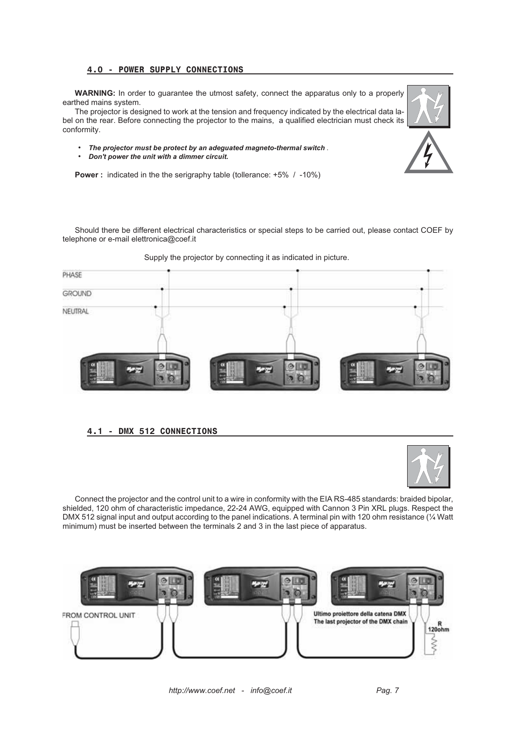# **4.0 - POWER SUPPLY CONNECTIONS**

**WARNING:** In order to guarantee the utmost safety, connect the apparatus only to a properly earthed mains system.

The projector is designed to work at the tension and frequency indicated by the electrical data label on the rear. Before connecting the projector to the mains, a qualified electrician must check its conformity.



*• Don't power the unit with a dimmer circuit.*

**Power :** indicated in the the serigraphy table (tollerance: +5% / -10%)

Should there be different electrical characteristics or special steps to be carried out, please contact COEF by telephone or e-mail elettronica@coef.it



Supply the projector by connecting it as indicated in picture.

# **4.1 - DMX 512 CONNECTIONS**



Connect the projector and the control unit to a wire in conformity with the EIA RS-485 standards: braided bipolar, shielded, 120 ohm of characteristic impedance, 22-24 AWG, equipped with Cannon 3 Pin XRL plugs. Respect the DMX 512 signal input and output according to the panel indications. A terminal pin with 120 ohm resistance (1/4 Watt minimum) must be inserted between the terminals 2 and 3 in the last piece of apparatus.

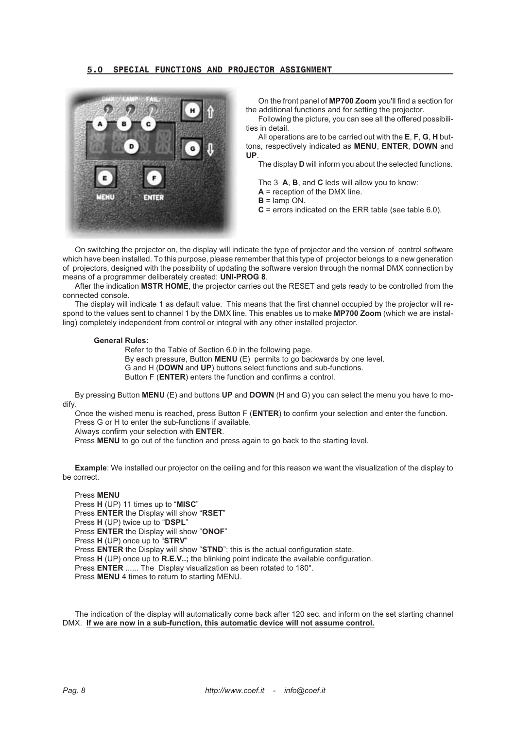### **5.0 SPECIAL FUNCTIONS AND PROJECTOR ASSIGNMENT**



On the front panel of **MP700 Zoom** you'll find a section for the additional functions and for setting the projector.

Following the picture, you can see all the offered possibilities in detail.

All operations are to be carried out with the **E**, **F**, **G**, **H** buttons, respectively indicated as **MENU**, **ENTER**, **DOWN** and **UP**.

The display **D** will inform you about the selected functions.

The 3 **A**, **B**, and **C** leds will allow you to know:

**A** = reception of the DMX line.

 $B =$ lamp ON.

**C** = errors indicated on the ERR table (see table 6.0).

On switching the projector on, the display will indicate the type of projector and the version of control software which have been installed. To this purpose, please remember that this type of projector belongs to a new generation of projectors, designed with the possibility of updating the software version through the normal DMX connection by means of a programmer deliberately created: **UNI-PROG 8**.

After the indication **MSTR HOME**, the projector carries out the RESET and gets ready to be controlled from the connected console.

The display will indicate 1 as default value. This means that the first channel occupied by the projector will respond to the values sent to channel 1 by the DMX line. This enables us to make **MP700 Zoom** (which we are installing) completely independent from control or integral with any other installed projector.

#### **General Rules:**

Refer to the Table of Section 6.0 in the following page. By each pressure, Button **MENU** (E) permits to go backwards by one level. G and H (**DOWN** and **UP**) buttons select functions and sub-functions. Button F (**ENTER**) enters the function and confirms a control.

By pressing Button **MENU** (E) and buttons **UP** and **DOWN** (H and G) you can select the menu you have to modify.

Once the wished menu is reached, press Button F (**ENTER**) to confirm your selection and enter the function. Press G or H to enter the sub-functions if available.

Always confirm your selection with **ENTER**.

Press **MENU** to go out of the function and press again to go back to the starting level.

**Example**: We installed our projector on the ceiling and for this reason we want the visualization of the display to be correct.

Press **MENU** Press **H** (UP) 11 times up to "**MISC**" Press **ENTER** the Display will show "**RSET**" Press **H** (UP) twice up to "**DSPL**" Press **ENTER** the Display will show "**ONOF**" Press **H** (UP) once up to "**STRV**" Press **ENTER** the Display will show "**STND**"; this is the actual configuration state. Press **H** (UP) once up to **R.E.V..;** the blinking point indicate the available configuration. Press **ENTER** ...... The Display visualization as been rotated to 180°. Press **MENU** 4 times to return to starting MENU.

The indication of the display will automatically come back after 120 sec. and inform on the set starting channel DMX. **If we are now in a sub-function, this automatic device will not assume control.**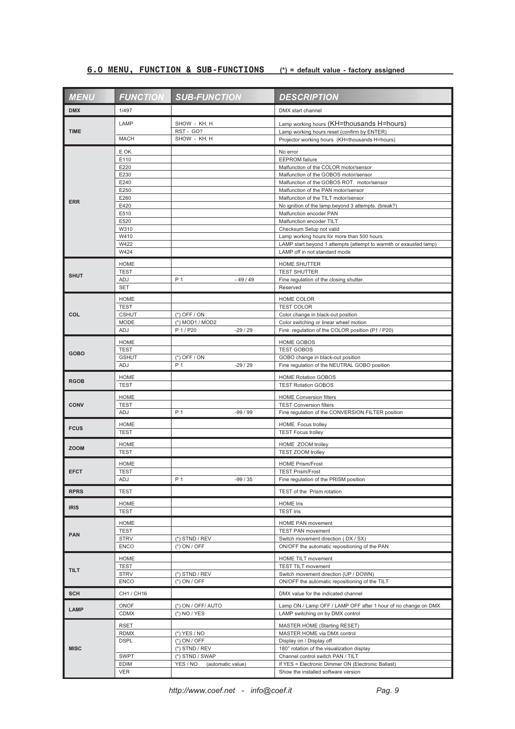# **6.0 MENU, FUNCTION & SUB-FUNCTIONS (\*) = default value - factory assigned**

| <b>MENU</b> | <b>FUNCTION</b>             | <b>SUB-FUNCTION</b>                              | <b>DESCRIPTION</b>                                                                      |
|-------------|-----------------------------|--------------------------------------------------|-----------------------------------------------------------------------------------------|
| <b>DMX</b>  | 1/497                       |                                                  | DMX start channel                                                                       |
|             | LAMP                        | SHOW - KH, H                                     | Lamp working hours (KH=thousands H=hours)                                               |
| <b>TIME</b> |                             | RST - GO?                                        | Lamp working hours reset (confirm by ENTER)                                             |
|             | <b>MACH</b>                 | SHOW - KH, H                                     | Projector working hours (KH=thousands H=hours)                                          |
| <b>ERR</b>  | E OK                        |                                                  | No error                                                                                |
|             | E110                        |                                                  | <b>EEPROM</b> failure                                                                   |
|             | E220<br>E230                |                                                  | Malfunction of the COLOR motor/sensor<br>Malfunction of the GOBOS motor/sensor          |
|             | E240                        |                                                  | Malfunction of the GOBOS ROT. motor/sensor                                              |
|             | E250                        |                                                  | Malfunction of the PAN motor/sensor                                                     |
|             | E260                        |                                                  | Malfunction of the TILT motor/sensor                                                    |
|             | E420                        |                                                  | No ignition of the lamp beyond 3 attempts. (break?)                                     |
|             | E510<br>E520                |                                                  | Malfunction encoder PAN<br>Malfunction encoder TILT                                     |
|             | W310                        |                                                  | Checksum Setup not valid                                                                |
|             | W410                        |                                                  | Lamp working hours for more than 500 hours                                              |
|             | W422                        |                                                  | LAMP start beyond 1 attempts (attempt to warmth or exausted lamp)                       |
|             | W424                        |                                                  | LAMP off in not standard mode                                                           |
|             | <b>HOME</b>                 |                                                  | HOME SHUTTER                                                                            |
| <b>SHUT</b> | <b>TEST</b>                 |                                                  | <b>TEST SHUTTER</b>                                                                     |
|             | ADJ                         | P 1<br>$-49/49$                                  | Fine regulation of the closing shutter.                                                 |
|             | <b>SET</b>                  |                                                  | Reserved                                                                                |
|             | <b>HOME</b>                 |                                                  | HOME COLOR                                                                              |
|             | <b>TEST</b>                 |                                                  | <b>TEST COLOR</b>                                                                       |
| COL         | <b>CSHUT</b><br><b>MODE</b> | $(*)$ OFF / ON<br>(*) MOD1 / MOD2                | Color change in black-out position<br>Color switching or linear wheel motion            |
|             | ADJ                         | P 1 / P20<br>$-29/29$                            | Fine regulation of the COLOR position (P1 / P20)                                        |
|             | <b>HOME</b>                 |                                                  | <b>HOME GOBOS</b>                                                                       |
|             | <b>TEST</b>                 |                                                  | <b>TEST GOBOS</b>                                                                       |
| <b>GOBO</b> | <b>GSHUT</b>                | $(*)$ OFF / ON                                   | GOBO change in black-out position                                                       |
|             | ADJ                         | P <sub>1</sub><br>$-29/29$                       | Fine regulation of the NEUTRAL GOBO position                                            |
|             | <b>HOME</b>                 |                                                  | <b>HOME Rotation GOBOS</b>                                                              |
| <b>RGOB</b> | <b>TEST</b>                 |                                                  | <b>TEST Rotation GOBOS</b>                                                              |
|             | <b>HOME</b>                 |                                                  | <b>HOME Conversion filters</b>                                                          |
| <b>CONV</b> | <b>TEST</b>                 |                                                  | <b>TEST Conversion filters</b>                                                          |
|             | ADJ                         | P <sub>1</sub><br>-99 / 99                       | Fine regulation of the CONVERSION FILTER position                                       |
| <b>FCUS</b> | <b>HOME</b>                 |                                                  | <b>HOME</b> Focus trolley                                                               |
|             | <b>TEST</b>                 |                                                  | <b>TEST Focus trolley</b>                                                               |
|             | <b>HOME</b>                 |                                                  | HOME ZOOM trolley                                                                       |
| <b>ZOOM</b> | <b>TEST</b>                 |                                                  | TEST ZOOM trolley                                                                       |
|             | <b>HOME</b>                 |                                                  | <b>HOME Prism/Frost</b>                                                                 |
| <b>EFCT</b> | <b>TEST</b>                 |                                                  | <b>TEST Prism/Frost</b>                                                                 |
|             | ADJ                         | P 1<br>$-99/35$                                  | Fine regulation of the PRISM position                                                   |
| <b>RPRS</b> | <b>TEST</b>                 |                                                  | TEST of the Prism rotation                                                              |
|             | <b>HOME</b>                 |                                                  | <b>HOME Iris</b>                                                                        |
| <b>IRIS</b> | <b>TEST</b>                 |                                                  | <b>TEST Iris</b>                                                                        |
|             | <b>HOME</b>                 |                                                  | HOME PAN movement                                                                       |
|             | <b>TEST</b>                 |                                                  | <b>TEST PAN movement</b>                                                                |
| <b>PAN</b>  | <b>STRV</b>                 | $(*)$ STND / REV                                 | Switch movement direction (DX / SX)                                                     |
|             | <b>ENCO</b>                 | $(*)$ ON / OFF                                   | ON/OFF the automatic repositioning of the PAN                                           |
| <b>TILT</b> | HOME                        |                                                  | HOME TILT movement                                                                      |
|             | <b>TEST</b>                 |                                                  | <b>TEST TILT movement</b>                                                               |
|             | <b>STRV</b>                 | $(*)$ STND / REV                                 | Switch movement direction (UP / DOWN)                                                   |
|             | <b>ENCO</b>                 | $(*)$ ON / OFF                                   | ON/OFF the automatic repositioning of the TILT                                          |
| <b>SCH</b>  | CH1 / CH16                  |                                                  | DMX value for the indicated channel                                                     |
|             | ONOF                        | (*) ON / OFF/ AUTO                               | Lamp ON / Lamp OFF / LAMP OFF after 1 hour of no change on DMX                          |
| <b>LAMP</b> | <b>CDMX</b>                 | $(*)$ NO / YES                                   | LAMP switching on by DMX control                                                        |
|             | <b>RSET</b>                 |                                                  | <b>MASTER HOME (Starting RESET)</b>                                                     |
|             | <b>RDMX</b>                 | $(*)$ YES / NO                                   | MASTER HOME via DMX control                                                             |
| <b>MISC</b> | <b>DSPL</b>                 | (*) ON / OFF                                     | Display on / Display off                                                                |
|             |                             | $(*)$ STND / REV                                 | 180° rotation of the visualization display                                              |
|             | <b>SWPT</b><br>EDIM         | (*) STND / SWAP<br>YES / NO<br>(automatic value) | Channel control switch PAN / TILT<br>If YES = Electronic Dimmer ON (Electronic Ballast) |
|             | <b>VER</b>                  |                                                  | Show the installed software version                                                     |
|             |                             |                                                  |                                                                                         |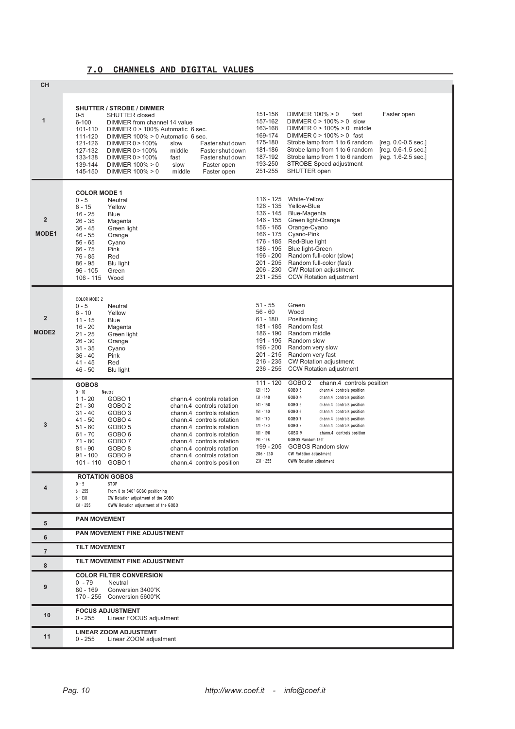# **7.0 CHANNELS AND DIGITAL VALUES**

| <b>CH</b>                      |                                                                                                                                                                                                                                                                                                                                                                                                                                                                                                                                                                                                                                                                                              |                                                                                                                                                                                                                                                                                                                                                                                                                                                                                                                                                                                                                                                                                              |  |
|--------------------------------|----------------------------------------------------------------------------------------------------------------------------------------------------------------------------------------------------------------------------------------------------------------------------------------------------------------------------------------------------------------------------------------------------------------------------------------------------------------------------------------------------------------------------------------------------------------------------------------------------------------------------------------------------------------------------------------------|----------------------------------------------------------------------------------------------------------------------------------------------------------------------------------------------------------------------------------------------------------------------------------------------------------------------------------------------------------------------------------------------------------------------------------------------------------------------------------------------------------------------------------------------------------------------------------------------------------------------------------------------------------------------------------------------|--|
| $\mathbf{1}$                   | <b>SHUTTER / STROBE / DIMMER</b><br>$0-5$<br><b>SHUTTER</b> closed<br>$6 - 100$<br>DIMMER from channel 14 value<br>101-110<br>DIMMER 0 > 100% Automatic 6 sec.<br>111-120<br>DIMMER 100% > 0 Automatic 6 sec.<br>121-126<br>DIMMER 0 > 100%<br>slow<br>Faster shut down<br>127-132<br>DIMMER 0 > 100%<br>middle<br>Faster shut down<br>133-138<br>fast<br>DIMMER 0 > 100%<br>Faster shut down<br>139-144<br>slow<br>DIMMER 100% > 0<br>Faster open<br>145-150<br>DIMMER $100\% > 0$<br>middle<br>Faster open                                                                                                                                                                                 | 151-156<br>DIMMER 100% > 0<br>fast<br>Faster open<br>157-162<br>DIMMER $0 > 100\% > 0$ slow<br>163-168<br>DIMMER $0 > 100\% > 0$ middle<br>169-174<br>DIMMER $0 > 100\% > 0$ fast<br>175-180<br>$[reg. 0.0 - 0.5 sec.]$<br>Strobe lamp from 1 to 6 random<br>181-186<br>Strobe lamp from 1 to 6 random<br>$[reg. 0.6-1.5 sec.]$<br>187-192<br>Strobe lamp from 1 to 6 random<br>$[reg. 1.6-2.5 sec.]$<br>193-250<br><b>STROBE Speed adjustment</b><br>251-255<br>SHUTTER open                                                                                                                                                                                                                |  |
| $\overline{2}$<br><b>MODE1</b> | <b>COLOR MODE 1</b><br>$0 - 5$<br>Neutral<br>$6 - 15$<br>Yellow<br>$16 - 25$<br><b>Blue</b><br>$26 - 35$<br>Magenta<br>$36 - 45$<br>Green light<br>$46 - 55$<br>Orange<br>$56 - 65$<br>Cyano<br>$66 - 75$<br>Pink<br>76 - 85<br>Red<br>$86 - 95$<br>Blu light<br>$96 - 105$<br>Green<br>$106 - 115$<br>Wood                                                                                                                                                                                                                                                                                                                                                                                  | 116 - 125<br>White-Yellow<br>126 - 135<br>Yellow-Blue<br>136 - 145<br>Blue-Magenta<br>146 - 155<br>Green light-Orange<br>156 - 165<br>Orange-Cyano<br>Cyano-Pink<br>166 - 175<br>176 - 185<br>Red-Blue light<br>186 - 195<br><b>Blue light-Green</b><br>196 - 200<br>Random full-color (slow)<br>$201 - 205$<br>Random full-color (fast)<br>206 - 230<br><b>CW Rotation adjustment</b><br>$231 - 255$<br><b>CCW Rotation adjustment</b>                                                                                                                                                                                                                                                      |  |
| $\overline{2}$<br><b>MODE2</b> | <b>COLOR MODE 2</b><br>$0 - 5$<br>Neutral<br>$6 - 10$<br>Yellow<br>$11 - 15$<br><b>Blue</b><br>$16 - 20$<br>Magenta<br>$21 - 25$<br>Green light<br>$26 - 30$<br>Orange<br>$31 - 35$<br>Cyano<br>$36 - 40$<br>Pink<br>$41 - 45$<br>Red<br>$46 - 50$<br>Blu light                                                                                                                                                                                                                                                                                                                                                                                                                              | $51 - 55$<br>Green<br>$56 - 60$<br>Wood<br>Positioning<br>$61 - 180$<br>181 - 185<br>Random fast<br>186 - 190<br>Random middle<br>191 - 195<br>Random slow<br>196 - 200<br>Random very slow<br>$201 - 215$<br>Random very fast<br>$216 - 235$<br><b>CW Rotation adjustment</b><br>236 - 255<br><b>CCW Rotation adjustment</b>                                                                                                                                                                                                                                                                                                                                                                |  |
| 3                              | <b>GOBOS</b><br>$0 - 10$<br>Neutral<br>$11 - 20$<br>GOBO <sub>1</sub><br>chann.4 controls rotation<br>$21 - 30$<br>GOBO <sub>2</sub><br>chann.4 controls rotation<br>$31 - 40$<br>GOBO <sub>3</sub><br>chann.4 controls rotation<br>$41 - 50$<br>GOBO <sub>4</sub><br>chann.4 controls rotation<br>$51 - 60$<br>GOBO <sub>5</sub><br>chann.4 controls rotation<br>$61 - 70$<br>GOBO <sub>6</sub><br>chann.4 controls rotation<br>$71 - 80$<br>GOBO <sub>7</sub><br>chann.4 controls rotation<br>$81 - 90$<br>GOBO <sub>8</sub><br>chann.4 controls rotation<br>$91 - 100$<br>GOBO <sub>9</sub><br>chann.4 controls rotation<br>GOBO <sub>1</sub><br>$101 - 110$<br>chann.4 controls position | $111 - 120$<br>GOBO <sub>2</sub><br>chann.4 controls position<br>$121 - 130$<br>GOBO <sub>3</sub><br>chann.4 controls position<br>$131 - 140$<br>GOBO <sub>4</sub><br>chann.4 controls position<br>$141 - 150$<br>GOBO <sub>5</sub><br>chann.4 controls position<br>GOBO 6<br>$151 - 160$<br>chann.4 controls position<br>$161 - 170$<br>GOBO <sub>7</sub><br>chann.4 controls position<br>$171 - 180$<br>GOBO <sub>8</sub><br>chann.4 controls position<br>$181 - 190$<br>GOBO 9<br>chann.4 controls position<br><b>GOBOS Random fast</b><br>$191 - 198$<br>199 - 205<br><b>GOBOS Random slow</b><br>$206 - 230$<br>CW Rotation adjustment<br>$231 - 255$<br><b>CWW Rotation adjustment</b> |  |
|                                | <b>ROTATION GOBOS</b><br>0.5<br>STOP                                                                                                                                                                                                                                                                                                                                                                                                                                                                                                                                                                                                                                                         |                                                                                                                                                                                                                                                                                                                                                                                                                                                                                                                                                                                                                                                                                              |  |
| 4                              | $6 - 255$<br>From 0 to 540° GOBO positioning<br>$6 - 130$<br>CW Rotation adjustment of the GOBO                                                                                                                                                                                                                                                                                                                                                                                                                                                                                                                                                                                              |                                                                                                                                                                                                                                                                                                                                                                                                                                                                                                                                                                                                                                                                                              |  |
|                                | $131 - 255$<br>CWW Rotation adjustment of the GOBO                                                                                                                                                                                                                                                                                                                                                                                                                                                                                                                                                                                                                                           |                                                                                                                                                                                                                                                                                                                                                                                                                                                                                                                                                                                                                                                                                              |  |
| 5                              | <b>PAN MOVEMENT</b>                                                                                                                                                                                                                                                                                                                                                                                                                                                                                                                                                                                                                                                                          |                                                                                                                                                                                                                                                                                                                                                                                                                                                                                                                                                                                                                                                                                              |  |
| 6                              | PAN MOVEMENT FINE ADJUSTMENT                                                                                                                                                                                                                                                                                                                                                                                                                                                                                                                                                                                                                                                                 |                                                                                                                                                                                                                                                                                                                                                                                                                                                                                                                                                                                                                                                                                              |  |
| $\overline{7}$                 | <b>TILT MOVEMENT</b>                                                                                                                                                                                                                                                                                                                                                                                                                                                                                                                                                                                                                                                                         |                                                                                                                                                                                                                                                                                                                                                                                                                                                                                                                                                                                                                                                                                              |  |
| 8                              | TILT MOVEMENT FINE ADJUSTMENT                                                                                                                                                                                                                                                                                                                                                                                                                                                                                                                                                                                                                                                                |                                                                                                                                                                                                                                                                                                                                                                                                                                                                                                                                                                                                                                                                                              |  |
| 9                              | <b>COLOR FILTER CONVERSION</b><br>$0 - 79$<br>Neutral<br>$80 - 169$<br>Conversion 3400°K<br>170 - 255<br>Conversion 5600°K                                                                                                                                                                                                                                                                                                                                                                                                                                                                                                                                                                   |                                                                                                                                                                                                                                                                                                                                                                                                                                                                                                                                                                                                                                                                                              |  |
|                                |                                                                                                                                                                                                                                                                                                                                                                                                                                                                                                                                                                                                                                                                                              |                                                                                                                                                                                                                                                                                                                                                                                                                                                                                                                                                                                                                                                                                              |  |
| 10                             | <b>FOCUS ADJUSTMENT</b><br>$0 - 255$<br>Linear FOCUS adjustment                                                                                                                                                                                                                                                                                                                                                                                                                                                                                                                                                                                                                              |                                                                                                                                                                                                                                                                                                                                                                                                                                                                                                                                                                                                                                                                                              |  |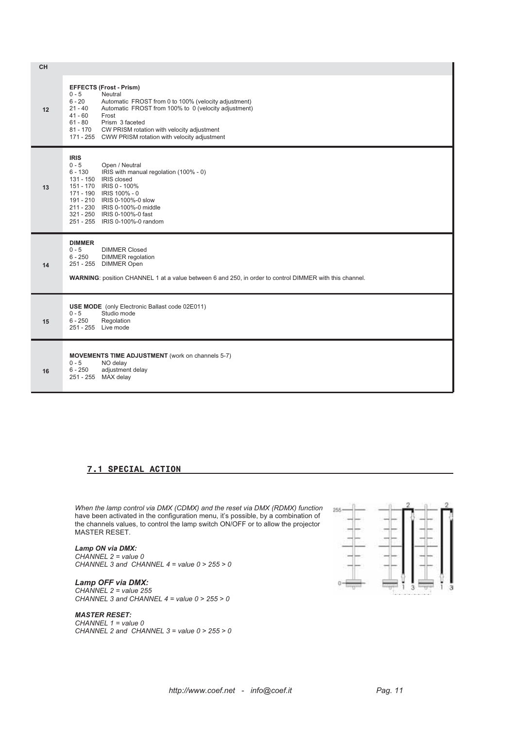| CH |                                                                                                                                                                                                                                                                                                                                                                        |
|----|------------------------------------------------------------------------------------------------------------------------------------------------------------------------------------------------------------------------------------------------------------------------------------------------------------------------------------------------------------------------|
| 12 | <b>EFFECTS (Frost - Prism)</b><br>$0 - 5$<br>Neutral<br>$6 - 20$<br>Automatic FROST from 0 to 100% (velocity adjustment)<br>Automatic FROST from 100% to 0 (velocity adjustment)<br>$21 - 40$<br>$41 - 60$<br>Frost<br>Prism 3 faceted<br>$61 - 80$<br>CW PRISM rotation with velocity adjustment<br>81 - 170<br>171 - 255 CWW PRISM rotation with velocity adjustment |
| 13 | <b>IRIS</b><br>$0 - 5$<br>Open / Neutral<br>IRIS with manual regolation (100% - 0)<br>$6 - 130$<br>131 - 150 IRIS closed<br>151 - 170 IRIS 0 - 100%<br>171 - 190 IRIS 100% - 0<br>191 - 210 IRIS 0-100%-0 slow<br>211 - 230 IRIS 0-100%-0 middle<br>321 - 250 IRIS 0-100%-0 fast<br>251 - 255 IRIS 0-100%-0 random                                                     |
| 14 | <b>DIMMER</b><br>$0 - 5$<br><b>DIMMER Closed</b><br>$6 - 250$<br><b>DIMMER</b> regolation<br>251 - 255 DIMMER Open<br>WARNING: position CHANNEL 1 at a value between 6 and 250, in order to control DIMMER with this channel.                                                                                                                                          |
| 15 | <b>USE MODE</b> (only Electronic Ballast code 02E011)<br>$0 - 5$<br>Studio mode<br>$6 - 250$<br>Regolation<br>251 - 255 Live mode                                                                                                                                                                                                                                      |
| 16 | MOVEMENTS TIME ADJUSTMENT (work on channels 5-7)<br>$0 - 5$<br>NO delay<br>adjustment delay<br>$6 - 250$<br>251 - 255 MAX delay                                                                                                                                                                                                                                        |

# **7.1 SPECIAL ACTION**

*When the lamp control via DMX (CDMX) and the reset via DMX (RDMX) function* have been activated in the configuration menu, it's possible, by a combination of the channels values, to control the lamp switch ON/OFF or to allow the projector MASTER RESET.

#### *Lamp ON via DMX:*

*CHANNEL 2 = value 0 CHANNEL 3 and CHANNEL 4 = value 0 > 255 > 0*

# *Lamp OFF via DMX:*

*CHANNEL 2 = value 255 CHANNEL 3 and CHANNEL 4 = value 0 > 255 > 0*

#### *MASTER RESET:*

*CHANNEL 1 = value 0 CHANNEL 2 and CHANNEL 3 = value 0 > 255 > 0*

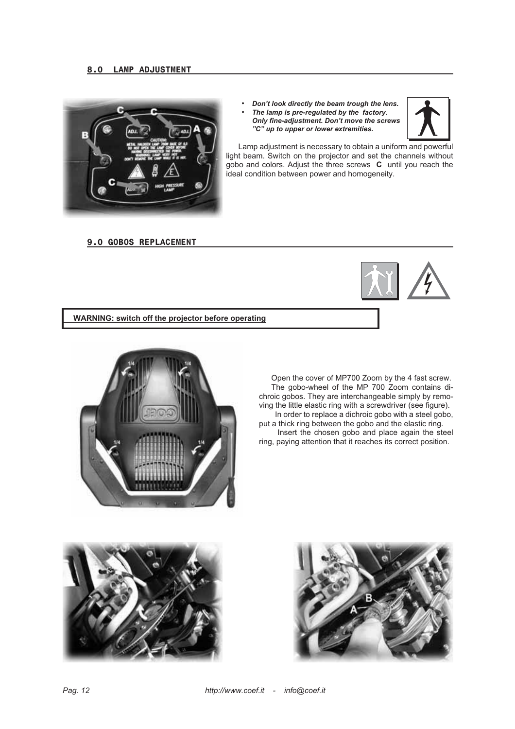

*• Don't look directly the beam trough the lens. • The lamp is pre-regulated by the factory. Only fine-adjustment. Don't move the screws "C" up to upper or lower extremities.*



Lamp adjustment is necessary to obtain a uniform and powerful light beam. Switch on the projector and set the channels without gobo and colors. Adjust the three screws **C** until you reach the ideal condition between power and homogeneity.

# **9.0 GOBOS REPLACEMENT**



**WARNING: switch off the projector before operating**



Open the cover of MP700 Zoom by the 4 fast screw. The gobo-wheel of the MP 700 Zoom contains dichroic gobos. They are interchangeable simply by removing the little elastic ring with a screwdriver (see figure). In order to replace a dichroic gobo with a steel gobo,

put a thick ring between the gobo and the elastic ring. Insert the chosen gobo and place again the steel ring, paying attention that it reaches its correct position.



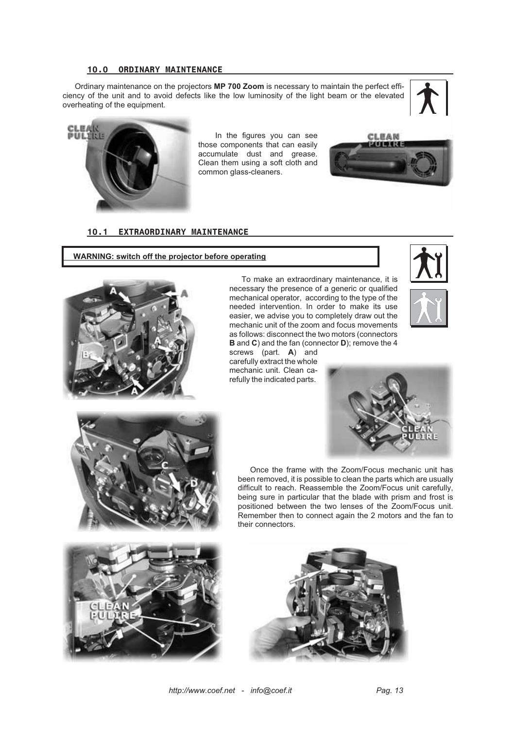#### **10.0 ORDINARY MAINTENANCE**

Ordinary maintenance on the projectors **MP 700 Zoom** is necessary to maintain the perfect efficiency of the unit and to avoid defects like the low luminosity of the light beam or the elevated overheating of the equipment.





In the figures you can see those components that can easily accumulate dust and grease. Clean them using a soft cloth and common glass-cleaners.



# **10.1 EXTRAORDINARY MAINTENANCE**

**WARNING: switch off the projector before operating**



To make an extraordinary maintenance, it is necessary the presence of a generic or qualified mechanical operator, according to the type of the needed intervention. In order to make its use easier, we advise you to completely draw out the mechanic unit of the zoom and focus movements as follows: disconnect the two motors (connectors **B** and **C**) and the fan (connector **D**); remove the 4

screws (part. **A**) and carefully extract the whole mechanic unit. Clean carefully the indicated parts.

their connectors.







Once the frame with the Zoom/Focus mechanic unit has been removed, it is possible to clean the parts which are usually difficult to reach. Reassemble the Zoom/Focus unit carefully, being sure in particular that the blade with prism and frost is positioned between the two lenses of the Zoom/Focus unit.

Remember then to connect again the 2 motors and the fan to



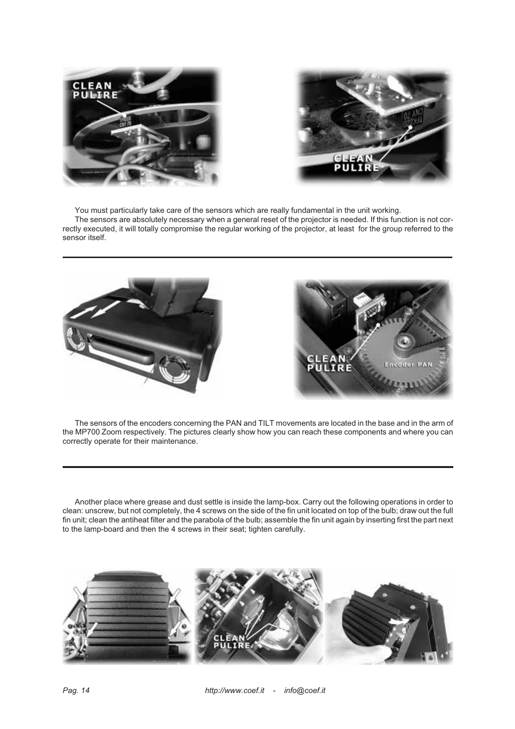



You must particularly take care of the sensors which are really fundamental in the unit working.

The sensors are absolutely necessary when a general reset of the projector is needed. If this function is not correctly executed, it will totally compromise the regular working of the projector, at least for the group referred to the sensor itself.



The sensors of the encoders concerning the PAN and TILT movements are located in the base and in the arm of the MP700 Zoom respectively. The pictures clearly show how you can reach these components and where you can correctly operate for their maintenance.

Another place where grease and dust settle is inside the lamp-box. Carry out the following operations in order to clean: unscrew, but not completely, the 4 screws on the side of the fin unit located on top of the bulb; draw out the full fin unit; clean the antiheat filter and the parabola of the bulb; assemble the fin unit again by inserting first the part next to the lamp-board and then the 4 screws in their seat; tighten carefully.

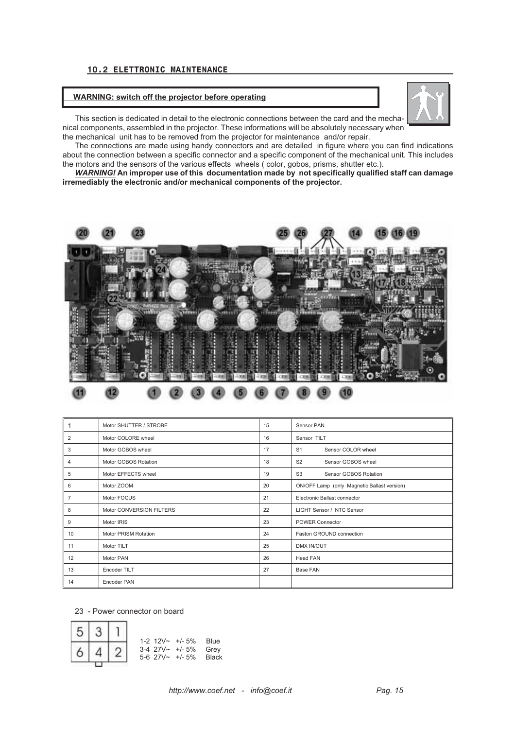# **10.2 ELETTRONIC MAINTENANCE**

#### **WARNING: switch off the projector before operating**



This section is dedicated in detail to the electronic connections between the card and the mechanical components, assembled in the projector. These informations will be absolutely necessary when the mechanical unit has to be removed from the projector for maintenance and/or repair.

The connections are made using handy connectors and are detailed in figure where you can find indications about the connection between a specific connector and a specific component of the mechanical unit. This includes the motors and the sensors of the various effects wheels ( color, gobos, prisms, shutter etc.).

*WARNING!* **An improper use of this documentation made by not specifically qualified staff can damage irremediably the electronic and/or mechanical components of the projector.**



# Œ

|                | Motor SHUTTER / STROBE      | 15 | Sensor PAN                                  |
|----------------|-----------------------------|----|---------------------------------------------|
| 2              | Motor COLORE wheel          | 16 | Sensor TILT                                 |
| 3              | Motor GOBOS wheel           | 17 | Sensor COLOR wheel<br>S <sub>1</sub>        |
| 4              | Motor GOBOS Rotation        | 18 | Sensor GOBOS wheel<br>S <sub>2</sub>        |
| 5              | Motor EFFECTS wheel         | 19 | S <sub>3</sub><br>Sensor GOBOS Rotation     |
| 6              | Motor ZOOM                  | 20 | ON/OFF Lamp (only Magnetic Ballast version) |
| $\overline{7}$ | Motor FOCUS                 | 21 | Electronic Ballast connector                |
| 8              | Motor CONVERSION FILTERS    | 22 | LIGHT Sensor / NTC Sensor                   |
| 9              | Motor IRIS                  | 23 | <b>POWER Connector</b>                      |
| 10             | <b>Motor PRISM Rotation</b> | 24 | Faston GROUND connection                    |
| 11             | Motor TILT                  | 25 | DMX IN/OUT                                  |
| 12             | Motor PAN                   | 26 | Head FAN                                    |
| 13             | Encoder TILT                | 27 | Base FAN                                    |
| 14             | Encoder PAN                 |    |                                             |

23 - Power connector on board